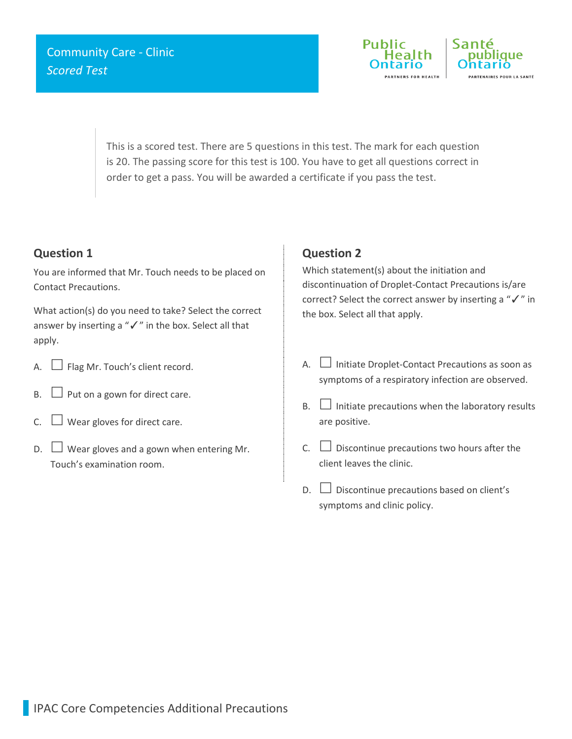

This is a scored test. There are 5 questions in this test. The mark for each question is 20. The passing score for this test is 100. You have to get all questions correct in order to get a pass. You will be awarded a certificate if you pass the test.

## **Question 1**

You are informed that Mr. Touch needs to be placed on Contact Precautions.

What action(s) do you need to take? Select the correct answer by inserting a "✓" in the box. Select all that apply.

- A.  $\Box$  Flag Mr. Touch's client record.
- $B.$  Put on a gown for direct care.
- C.  $\Box$  Wear gloves for direct care.
- $\Box$  Wear gloves and a gown when entering Mr. Touch's examination room.

### **Question 2**

Which statement(s) about the initiation and discontinuation of Droplet-Contact Precautions is/are correct? Select the correct answer by inserting a "✓" in the box. Select all that apply.

- A.  $\Box$  Initiate Droplet-Contact Precautions as soon as symptoms of a respiratory infection are observed.
- $B.$   $\Box$  Initiate precautions when the laboratory results are positive.
- $C.$   $\square$  Discontinue precautions two hours after the client leaves the clinic.
- $D.$   $\Box$  Discontinue precautions based on client's symptoms and clinic policy.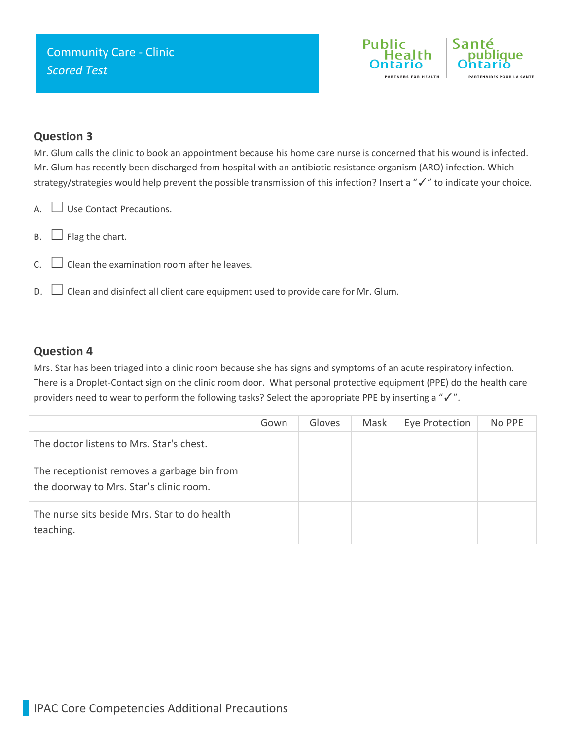

### **Question 3**

Mr. Glum calls the clinic to book an appointment because his home care nurse is concerned that his wound is infected. Mr. Glum has recently been discharged from hospital with an antibiotic resistance organism (ARO) infection. Which strategy/strategies would help prevent the possible transmission of this infection? Insert a "✓" to indicate your choice.

- A. Use Contact Precautions.
- $B. \Box$  Flag the chart.
- $C.$   $\Box$  Clean the examination room after he leaves.
- $D.$   $\Box$  Clean and disinfect all client care equipment used to provide care for Mr. Glum.

#### **Question 4**

Mrs. Star has been triaged into a clinic room because she has signs and symptoms of an acute respiratory infection. There is a Droplet-Contact sign on the clinic room door. What personal protective equipment (PPE) do the health care providers need to wear to perform the following tasks? Select the appropriate PPE by inserting a "√".

|                                                                                        | Gown | Gloves | Mask | Eye Protection | No PPE |
|----------------------------------------------------------------------------------------|------|--------|------|----------------|--------|
| The doctor listens to Mrs. Star's chest.                                               |      |        |      |                |        |
| The receptionist removes a garbage bin from<br>the doorway to Mrs. Star's clinic room. |      |        |      |                |        |
| The nurse sits beside Mrs. Star to do health<br>teaching.                              |      |        |      |                |        |